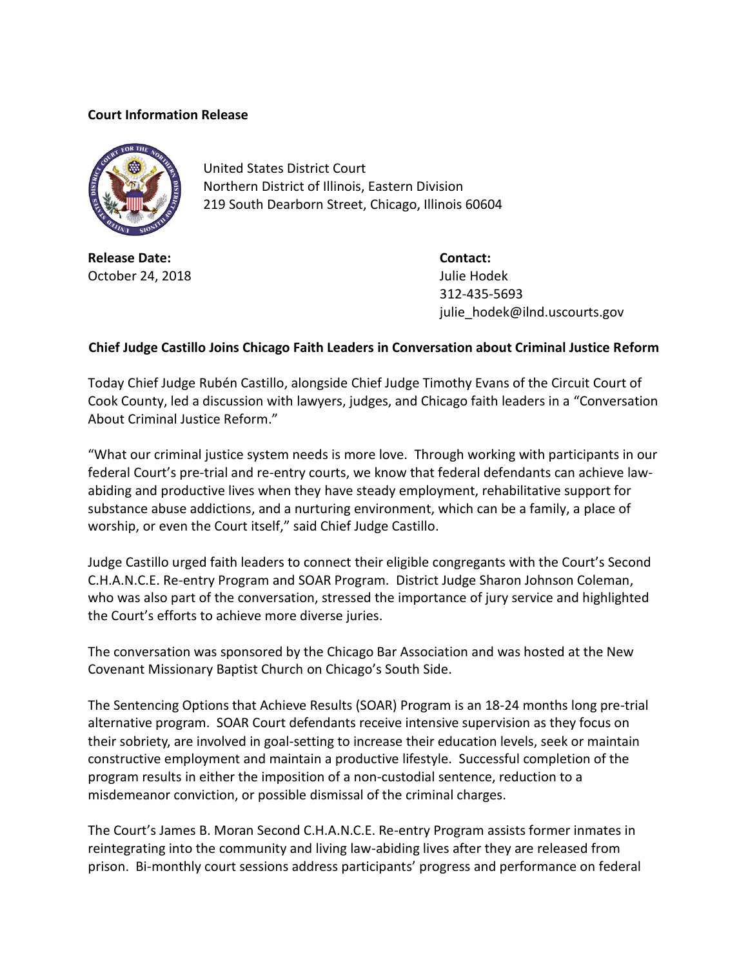## **Court Information Release**



United States District Court Northern District of Illinois, Eastern Division 219 South Dearborn Street, Chicago, Illinois 60604

**Release Date: Contact:** October 24, 2018 **Julie Hodek** 

312-435-5693 julie\_hodek@ilnd.uscourts.gov

## **Chief Judge Castillo Joins Chicago Faith Leaders in Conversation about Criminal Justice Reform**

Today Chief Judge Rubén Castillo, alongside Chief Judge Timothy Evans of the Circuit Court of Cook County, led a discussion with lawyers, judges, and Chicago faith leaders in a "Conversation About Criminal Justice Reform."

"What our criminal justice system needs is more love. Through working with participants in our federal Court's pre-trial and re-entry courts, we know that federal defendants can achieve lawabiding and productive lives when they have steady employment, rehabilitative support for substance abuse addictions, and a nurturing environment, which can be a family, a place of worship, or even the Court itself," said Chief Judge Castillo.

Judge Castillo urged faith leaders to connect their eligible congregants with the Court's Second C.H.A.N.C.E. Re-entry Program and SOAR Program. District Judge Sharon Johnson Coleman, who was also part of the conversation, stressed the importance of jury service and highlighted the Court's efforts to achieve more diverse juries.

The conversation was sponsored by the Chicago Bar Association and was hosted at the New Covenant Missionary Baptist Church on Chicago's South Side.

The Sentencing Options that Achieve Results (SOAR) Program is an 18-24 months long pre-trial alternative program. SOAR Court defendants receive intensive supervision as they focus on their sobriety, are involved in goal-setting to increase their education levels, seek or maintain constructive employment and maintain a productive lifestyle. Successful completion of the program results in either the imposition of a non-custodial sentence, reduction to a misdemeanor conviction, or possible dismissal of the criminal charges.

The Court's James B. Moran Second C.H.A.N.C.E. Re-entry Program assists former inmates in reintegrating into the community and living law-abiding lives after they are released from prison. Bi-monthly court sessions address participants' progress and performance on federal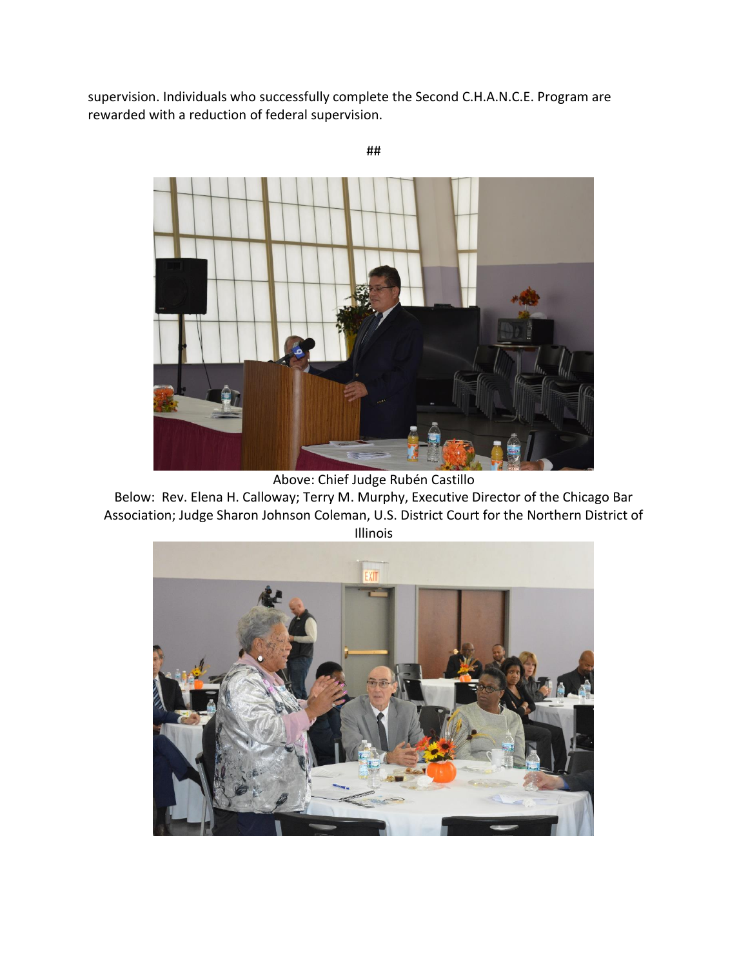supervision. Individuals who successfully complete the Second C.H.A.N.C.E. Program are rewarded with a reduction of federal supervision.



Above: Chief Judge Rubén Castillo

Below: Rev. Elena H. Calloway; Terry M. Murphy, Executive Director of the Chicago Bar Association; Judge Sharon Johnson Coleman, U.S. District Court for the Northern District of Illinois



##